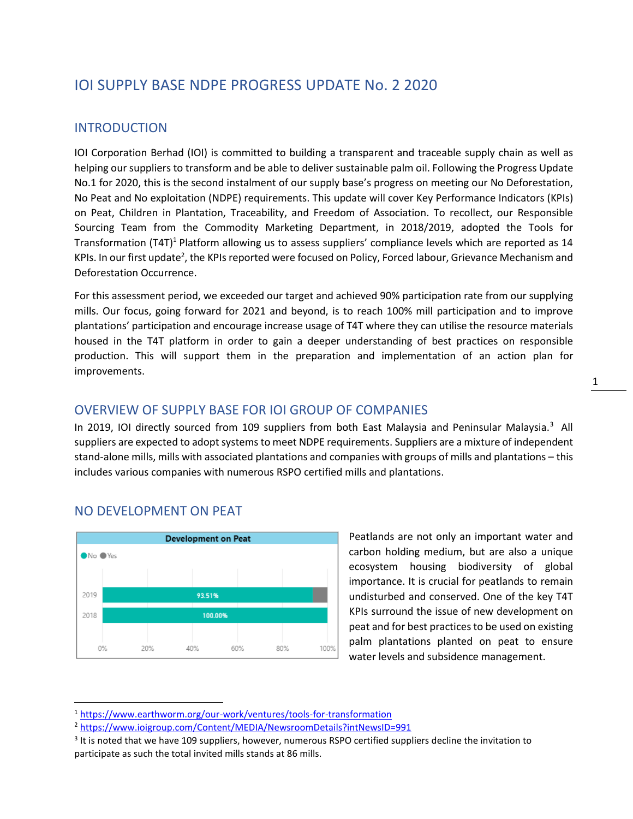# IOI SUPPLY BASE NDPE PROGRESS UPDATE No. 2 2020

#### INTRODUCTION

IOI Corporation Berhad (IOI) is committed to building a transparent and traceable supply chain as well as helping our suppliers to transform and be able to deliver sustainable palm oil. Following the Progress Update No.1 for 2020, this is the second instalment of our supply base's progress on meeting our No Deforestation, No Peat and No exploitation (NDPE) requirements. This update will cover Key Performance Indicators (KPIs) on Peat, Children in Plantation, Traceability, and Freedom of Association. To recollect, our Responsible Sourcing Team from the Commodity Marketing Department, in 2018/2019, adopted the Tools for Transformation  $(T4T)^{1}$  Platform allowing us to assess suppliers' compliance levels which are reported as 14 KPIs. In our first update<sup>2</sup>, the KPIs reported were focused on Policy, Forced labour, Grievance Mechanism and Deforestation Occurrence.

For this assessment period, we exceeded our target and achieved 90% participation rate from our supplying mills. Our focus, going forward for 2021 and beyond, is to reach 100% mill participation and to improve plantations' participation and encourage increase usage of T4T where they can utilise the resource materials housed in the T4T platform in order to gain a deeper understanding of best practices on responsible production. This will support them in the preparation and implementation of an action plan for improvements.

### OVERVIEW OF SUPPLY BASE FOR IOI GROUP OF COMPANIES

In 2019, IOI directly sourced from 109 suppliers from both East Malaysia and Peninsular Malaysia.<sup>3</sup> All suppliers are expected to adopt systems to meet NDPE requirements. Suppliers are a mixture of independent stand-alone mills, mills with associated plantations and companies with groups of mills and plantations – this includes various companies with numerous RSPO certified mills and plantations.



NO DEVELOPMENT ON PEAT

Peatlands are not only an important water and carbon holding medium, but are also a unique ecosystem housing biodiversity of global importance. It is crucial for peatlands to remain undisturbed and conserved. One of the key T4T KPIs surround the issue of new development on peat and for best practices to be used on existing palm plantations planted on peat to ensure water levels and subsidence management.

<sup>1</sup> <https://www.earthworm.org/our-work/ventures/tools-for-transformation>

<sup>2</sup> <https://www.ioigroup.com/Content/MEDIA/NewsroomDetails?intNewsID=991>

<sup>&</sup>lt;sup>3</sup> It is noted that we have 109 suppliers, however, numerous RSPO certified suppliers decline the invitation to participate as such the total invited mills stands at 86 mills.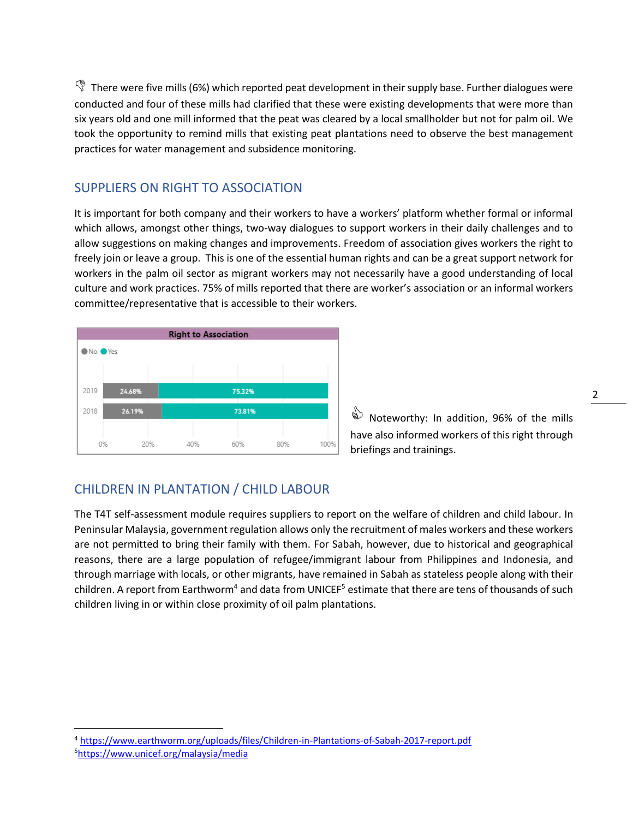$\mathbb{\Im}$  There were five mills (6%) which reported peat development in their supply base. Further dialogues were conducted and four of these mills had clarified that these were existing developments that were more than six years old and one mill informed that the peat was cleared by a local smallholder but not for palm oil. We took the opportunity to remind mills that existing peat plantations need to observe the best management practices for water management and subsidence monitoring.

### SUPPLIERS ON RIGHT TO ASSOCIATION

It is important for both company and their workers to have a workers' platform whether formal or informal which allows, amongst other things, two-way dialogues to support workers in their daily challenges and to allow suggestions on making changes and improvements. Freedom of association gives workers the right to freely join or leave a group. This is one of the essential human rights and can be a great support network for workers in the palm oil sector as migrant workers may not necessarily have a good understanding of local culture and work practices. 75% of mills reported that there are worker's association or an informal workers committee/representative that is accessible to their workers.



Sidaporthy: In addition, 96% of the mills have also informed workers of this right through briefings and trainings.

## CHILDREN IN PLANTATION / CHILD LABOUR

The T4T self-assessment module requires suppliers to report on the welfare of children and child labour. In Peninsular Malaysia, government regulation allows only the recruitment of males workers and these workers are not permitted to bring their family with them. For Sabah, however, due to historical and geographical reasons, there are a large population of refugee/immigrant labour from Philippines and Indonesia, and through marriage with locals, or other migrants, have remained in Sabah as stateless people along with their children. A report from Earthworm<sup>4</sup> and data from UNICEF<sup>5</sup> estimate that there are tens of thousands of such children living in or within close proximity of oil palm plantations.

<sup>4</sup> <https://www.earthworm.org/uploads/files/Children-in-Plantations-of-Sabah-2017-report.pdf>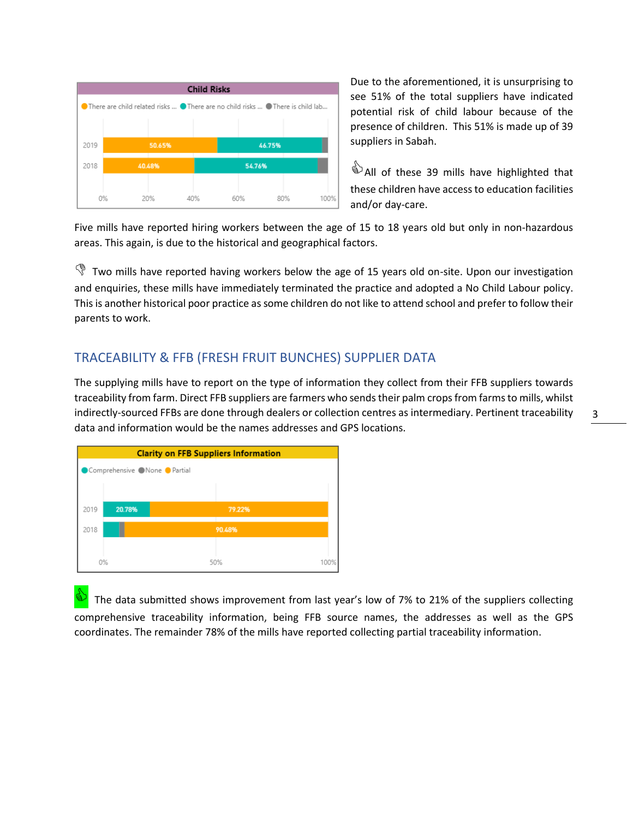

Due to the aforementioned, it is unsurprising to see 51% of the total suppliers have indicated potential risk of child labour because of the presence of children. This 51% is made up of 39 suppliers in Sabah.

<sup>3</sup> All of these 39 mills have highlighted that these children have access to education facilities and/or day-care.

Five mills have reported hiring workers between the age of 15 to 18 years old but only in non-hazardous areas. This again, is due to the historical and geographical factors.

 $\mathbb{\Im}$  Two mills have reported having workers below the age of 15 years old on-site. Upon our investigation and enquiries, these mills have immediately terminated the practice and adopted a No Child Labour policy. This is another historical poor practice as some children do not like to attend school and prefer to follow their parents to work.

### TRACEABILITY & FFB (FRESH FRUIT BUNCHES) SUPPLIER DATA

The supplying mills have to report on the type of information they collect from their FFB suppliers towards traceability from farm. Direct FFB suppliers are farmers who sendstheir palm cropsfrom farms to mills, whilst indirectly-sourced FFBs are done through dealers or collection centres as intermediary. Pertinent traceability data and information would be the names addresses and GPS locations.

| <b>Clarity on FFB Suppliers Information</b> |        |        |      |
|---------------------------------------------|--------|--------|------|
| Comprehensive None Partial                  |        |        |      |
|                                             |        |        |      |
| 2019                                        | 20.78% | 79.22% |      |
| 2018                                        |        | 90.48% |      |
| 0%                                          |        | 50%    | 100% |

 The data submitted shows improvement from last year's low of 7% to 21% of the suppliers collecting comprehensive traceability information, being FFB source names, the addresses as well as the GPS coordinates. The remainder 78% of the mills have reported collecting partial traceability information.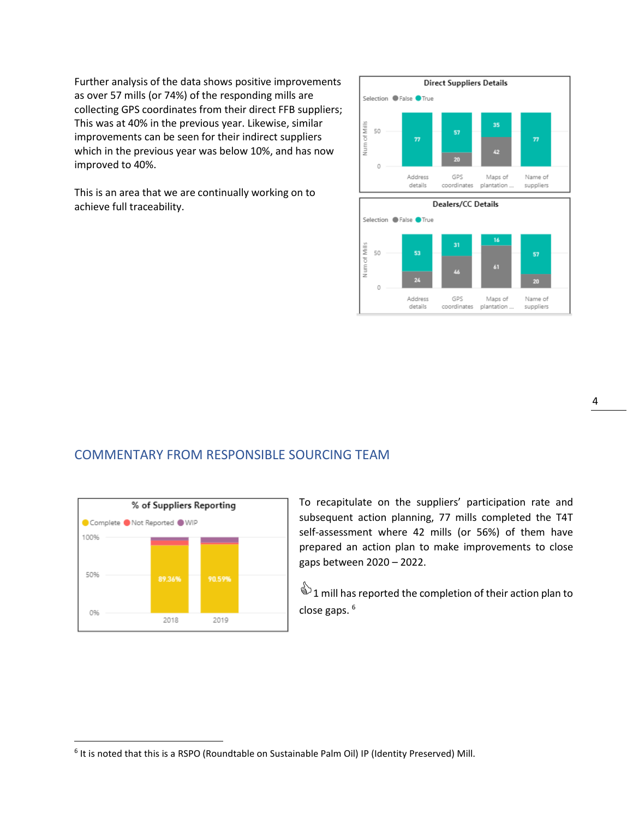Further analysis of the data shows positive improvements as over 57 mills (or 74%) of the responding mills are collecting GPS coordinates from their direct FFB suppliers; This was at 40% in the previous year. Likewise, similar improvements can be seen for their indirect suppliers which in the previous year was below 10%, and has now improved to 40%.

This is an area that we are continually working on to achieve full traceability.



### COMMENTARY FROM RESPONSIBLE SOURCING TEAM



To recapitulate on the suppliers' participation rate and subsequent action planning, 77 mills completed the T4T self-assessment where 42 mills (or 56%) of them have prepared an action plan to make improvements to close gaps between 2020 – 2022.

 $\overset{\triangle}{\triangle}$  1 mill has reported the completion of their action plan to close gaps. <sup>6</sup>

<sup>&</sup>lt;sup>6</sup> It is noted that this is a RSPO (Roundtable on Sustainable Palm Oil) IP (Identity Preserved) Mill.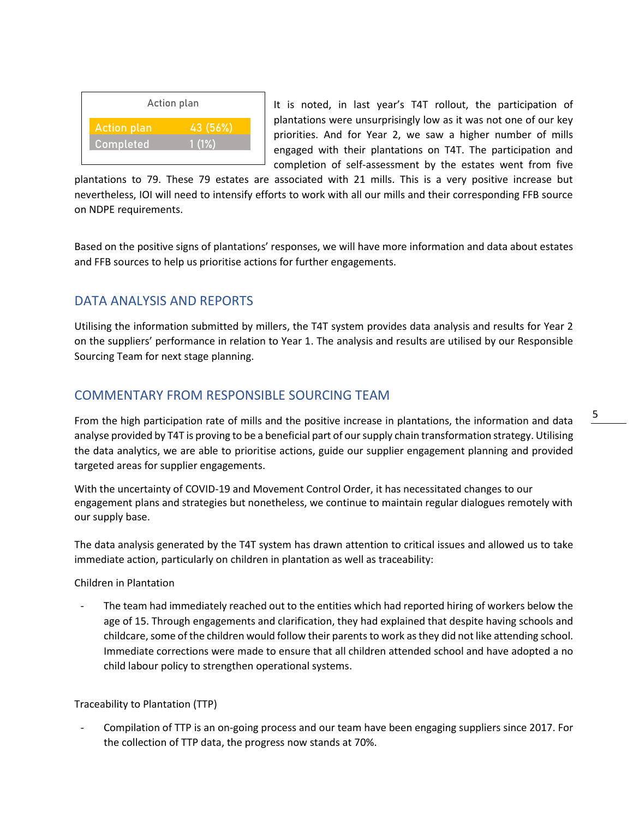

It is noted, in last year's T4T rollout, the participation of plantations were unsurprisingly low as it was not one of our key priorities. And for Year 2, we saw a higher number of mills engaged with their plantations on T4T. The participation and completion of self-assessment by the estates went from five

plantations to 79. These 79 estates are associated with 21 mills. This is a very positive increase but nevertheless, IOI will need to intensify efforts to work with all our mills and their corresponding FFB source on NDPE requirements.

Based on the positive signs of plantations' responses, we will have more information and data about estates and FFB sources to help us prioritise actions for further engagements.

## DATA ANALYSIS AND REPORTS

Utilising the information submitted by millers, the T4T system provides data analysis and results for Year 2 on the suppliers' performance in relation to Year 1. The analysis and results are utilised by our Responsible Sourcing Team for next stage planning.

## COMMENTARY FROM RESPONSIBLE SOURCING TEAM

From the high participation rate of mills and the positive increase in plantations, the information and data analyse provided by T4T is proving to be a beneficial part of our supply chain transformation strategy. Utilising the data analytics, we are able to prioritise actions, guide our supplier engagement planning and provided targeted areas for supplier engagements.

With the uncertainty of COVID-19 and Movement Control Order, it has necessitated changes to our engagement plans and strategies but nonetheless, we continue to maintain regular dialogues remotely with our supply base.

The data analysis generated by the T4T system has drawn attention to critical issues and allowed us to take immediate action, particularly on children in plantation as well as traceability:

Children in Plantation

The team had immediately reached out to the entities which had reported hiring of workers below the age of 15. Through engagements and clarification, they had explained that despite having schools and childcare, some of the children would follow their parents to work as they did not like attending school. Immediate corrections were made to ensure that all children attended school and have adopted a no child labour policy to strengthen operational systems.

#### Traceability to Plantation (TTP)

- Compilation of TTP is an on-going process and our team have been engaging suppliers since 2017. For the collection of TTP data, the progress now stands at 70%.